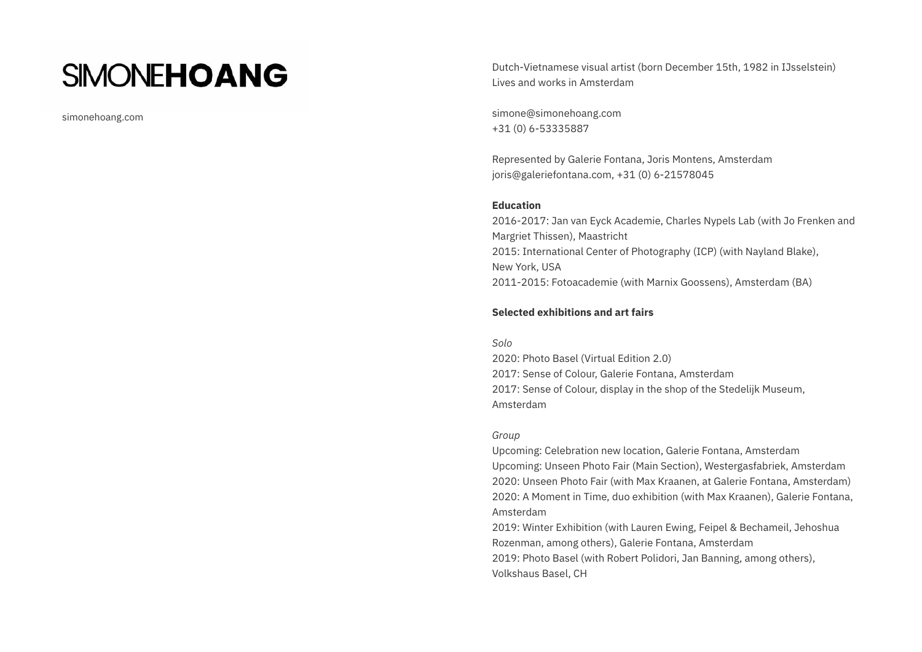# **SIMONEHOANG**

simonehoang.com

Dutch-Vietnamese visual artist (born December 15th, 1982 in IJsselstein) Lives and works in Amsterdam

simone@simonehoang.com +31 (0) 6-53335887

Represented by Galerie Fontana, Joris Montens, Amsterdam joris@galeriefontana.com, +31 (0) 6-21578045

#### **Education**

2016-2017: Jan van Eyck Academie, Charles Nypels Lab (with Jo Frenken and Margriet Thissen), Maastricht 2015: International Center of Photography (ICP) (with Nayland Blake), New York, USA 2011-2015: Fotoacademie (with Marnix Goossens), Amsterdam (BA)

## **Selected exhibitions and art fairs**

#### *Solo*

2020: Photo Basel (Virtual Edition 2.0) 2017: Sense of Colour, Galerie Fontana, Amsterdam 2017: Sense of Colour, display in the shop of the Stedelijk Museum, Amsterdam

#### *Group*

Upcoming: Celebration new location, Galerie Fontana, Amsterdam Upcoming: Unseen Photo Fair (Main Section), Westergasfabriek, Amsterdam 2020: Unseen Photo Fair (with Max Kraanen, at Galerie Fontana, Amsterdam) 2020: A Moment in Time, duo exhibition (with Max Kraanen), Galerie Fontana, Amsterdam

2019: Winter Exhibition (with Lauren Ewing, Feipel & Bechameil, Jehoshua Rozenman, among others), Galerie Fontana, Amsterdam 2019: Photo Basel (with Robert Polidori, Jan Banning, among others), Volkshaus Basel, CH